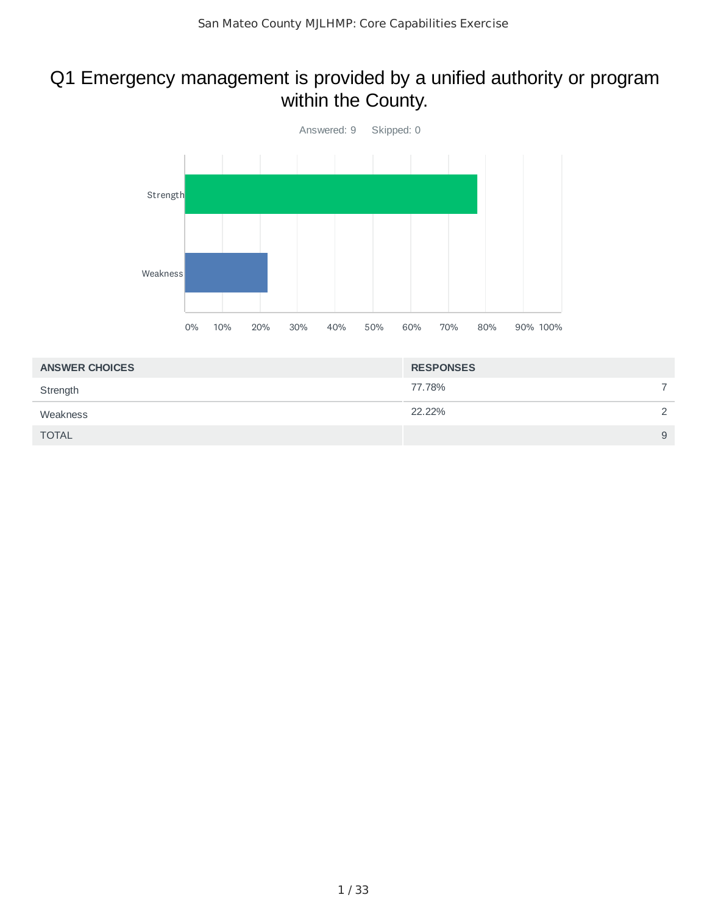## Q1 Emergency management is provided by a unified authority or program within the County.



| <b>ANSWER CHOICES</b> | <b>RESPONSES</b> |               |
|-----------------------|------------------|---------------|
| Strength              | 77.78%           |               |
| Weakness              | 22.22%           | $\mathcal{D}$ |
| <b>TOTAL</b>          |                  | 9             |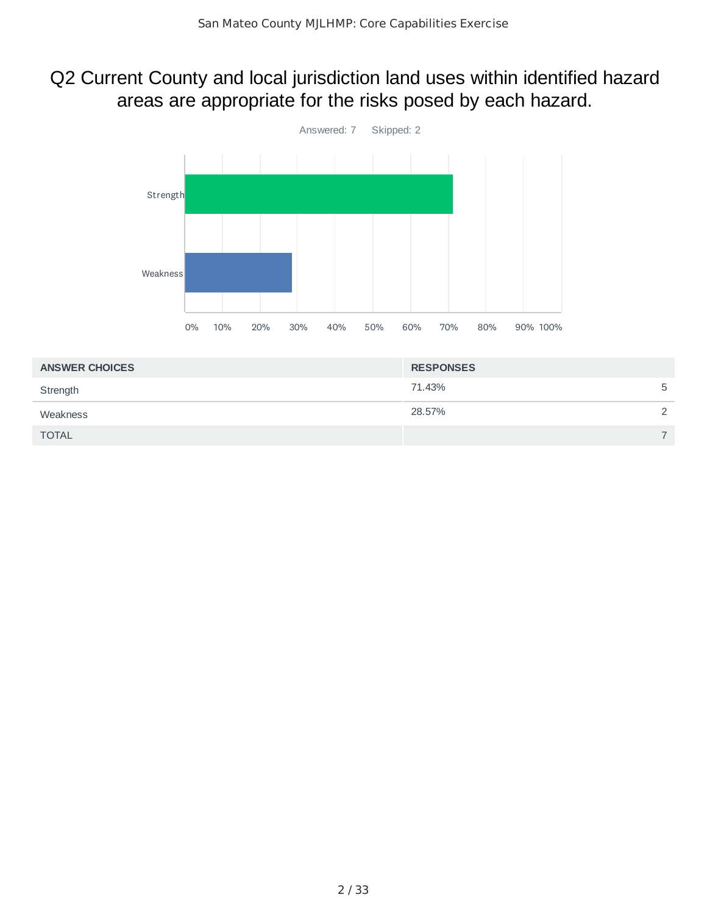### Q2 Current County and local jurisdiction land uses within identified hazard areas are appropriate for the risks posed by each hazard.



| <b>ANSWER CHOICES</b> | <b>RESPONSES</b> |               |
|-----------------------|------------------|---------------|
| Strength              | 71.43%           | 5             |
| Weakness              | 28.57%           | $\mathcal{D}$ |
| <b>TOTAL</b>          |                  | ⇁             |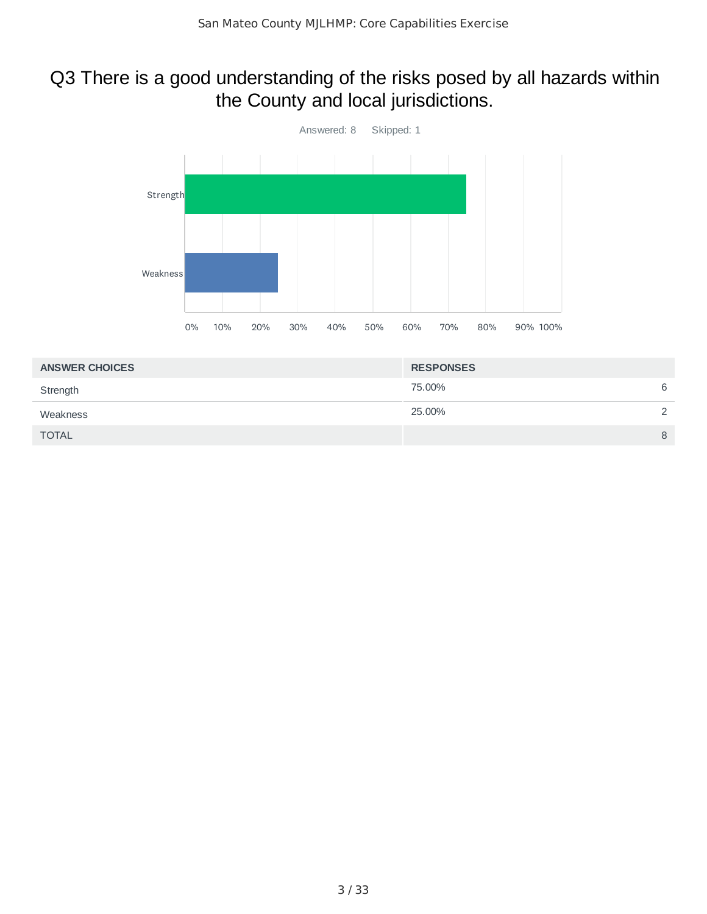### Q3 There is a good understanding of the risks posed by all hazards within the County and local jurisdictions.



| <b>ANSWER CHOICES</b> | <b>RESPONSES</b> |   |
|-----------------------|------------------|---|
| Strength              | 75.00%           | 6 |
| Weakness              | 25.00%           | 2 |
| <b>TOTAL</b>          |                  | 8 |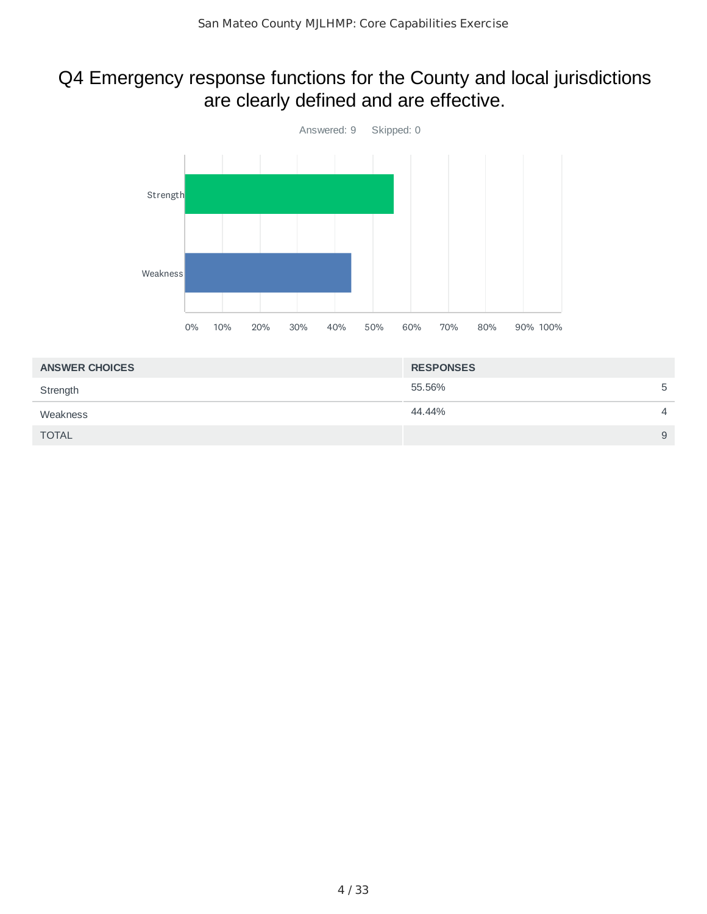## Q4 Emergency response functions for the County and local jurisdictions are clearly defined and are effective.



| <b>ANSWER CHOICES</b> | <b>RESPONSES</b> |                |
|-----------------------|------------------|----------------|
| Strength              | 55.56%           | 5              |
| Weakness              | 44.44%           | $\overline{4}$ |
| <b>TOTAL</b>          |                  | 9              |
|                       |                  |                |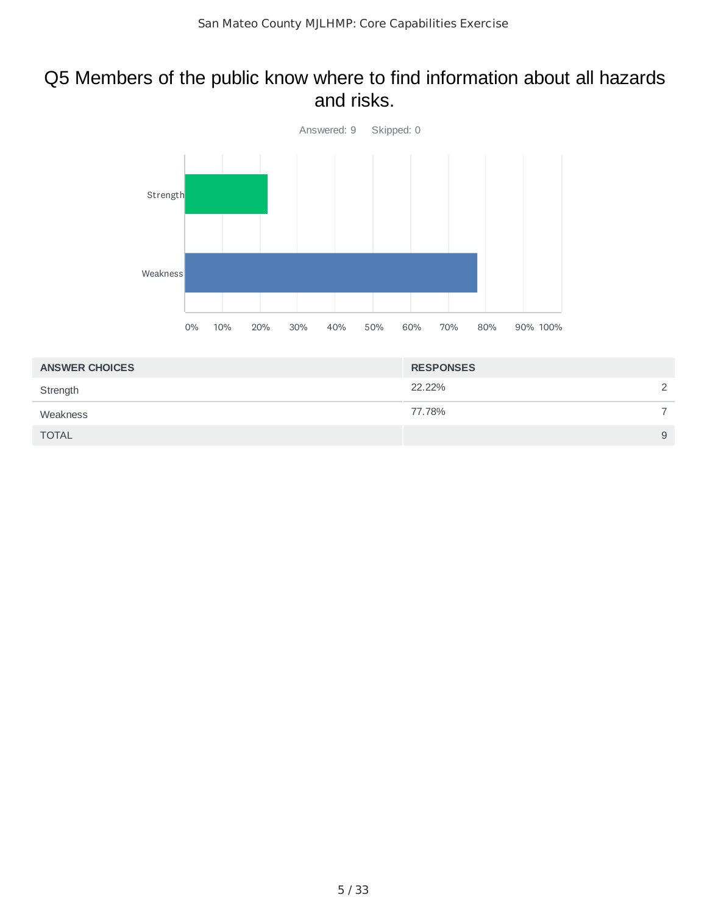#### Q5 Members of the public know where to find information about all hazards and risks.



| <b>ANSWER CHOICES</b> | <b>RESPONSES</b> |              |
|-----------------------|------------------|--------------|
| Strength              | 22.22%           | $\mathbf{2}$ |
| Weakness              | 77.78%           |              |
| <b>TOTAL</b>          |                  | 9            |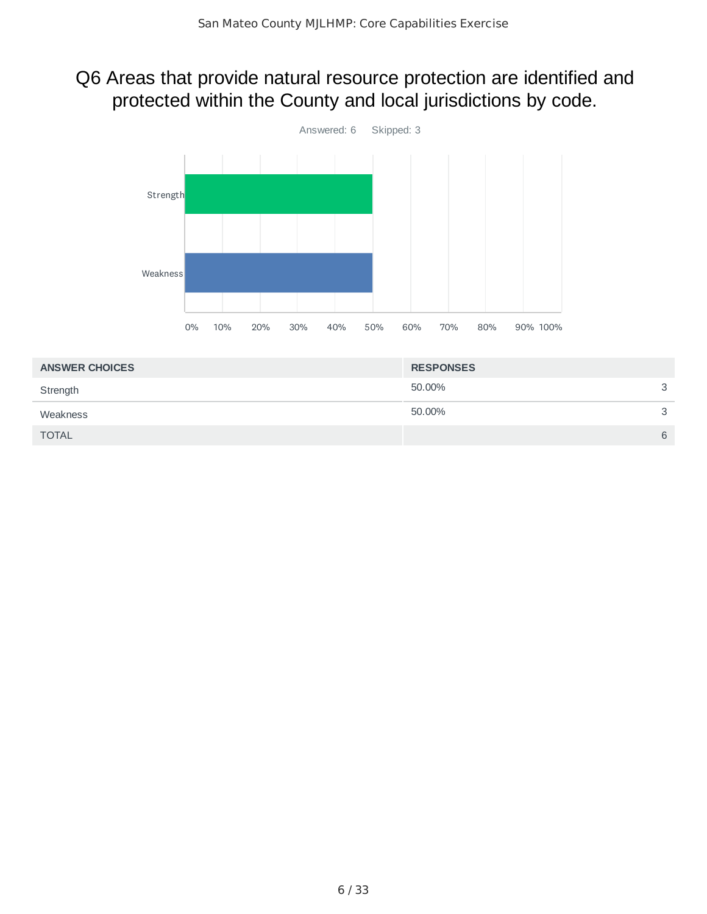## Q6 Areas that provide natural resource protection are identified and protected within the County and local jurisdictions by code.



| <b>ANSWER CHOICES</b> | <b>RESPONSES</b> |   |
|-----------------------|------------------|---|
| Strength              | 50.00%           | 3 |
| Weakness              | 50.00%           | 3 |
| <b>TOTAL</b>          |                  | 6 |
|                       |                  |   |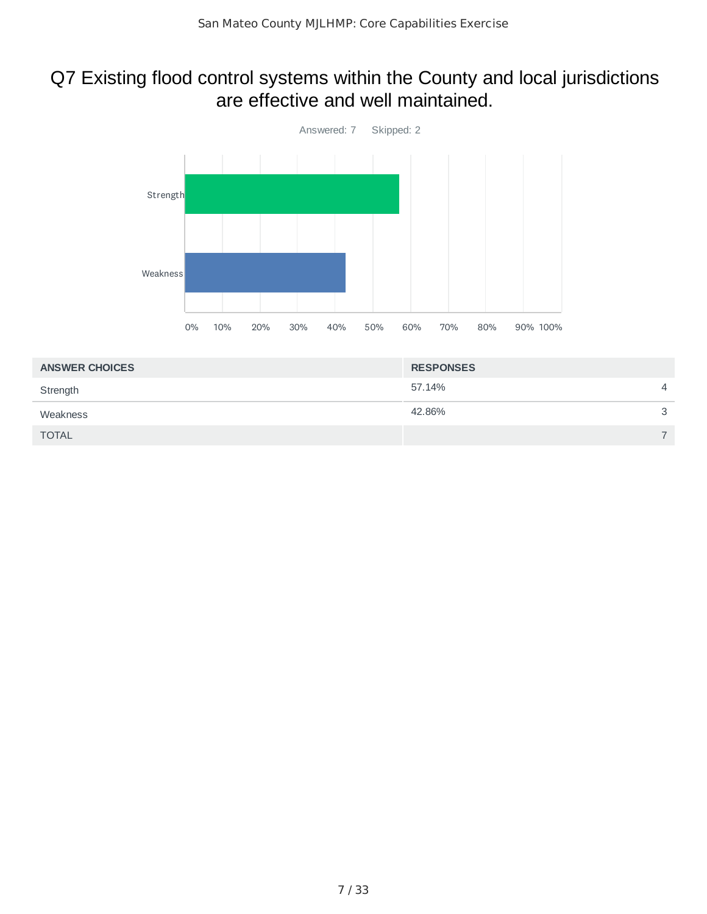#### Q7 Existing flood control systems within the County and local jurisdictions are effective and well maintained.



| <b>ANSWER CHOICES</b> | <b>RESPONSES</b> |                          |
|-----------------------|------------------|--------------------------|
| Strength              | 57.14%           | $\overline{4}$           |
| Weakness              | 42.86%           | $\mathbf{C}$             |
| <b>TOTAL</b>          |                  | $\overline{\phantom{0}}$ |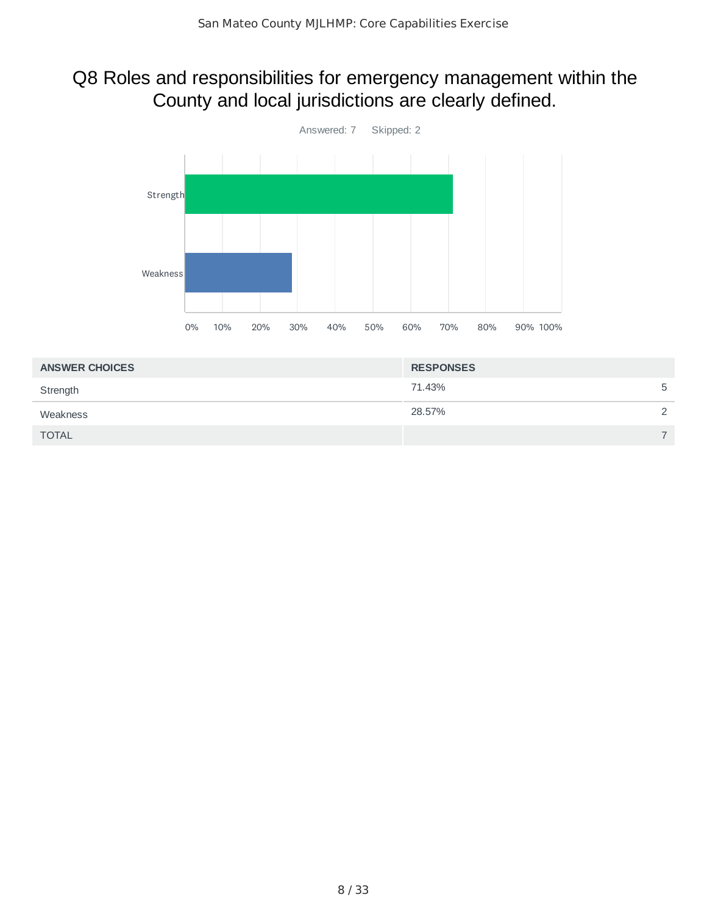## Q8 Roles and responsibilities for emergency management within the County and local jurisdictions are clearly defined.



| <b>ANSWER CHOICES</b> | <b>RESPONSES</b> |               |
|-----------------------|------------------|---------------|
| Strength              | 71.43%           | 5             |
| Weakness              | 28.57%           | $\mathcal{D}$ |
| <b>TOTAL</b>          |                  | ⇁             |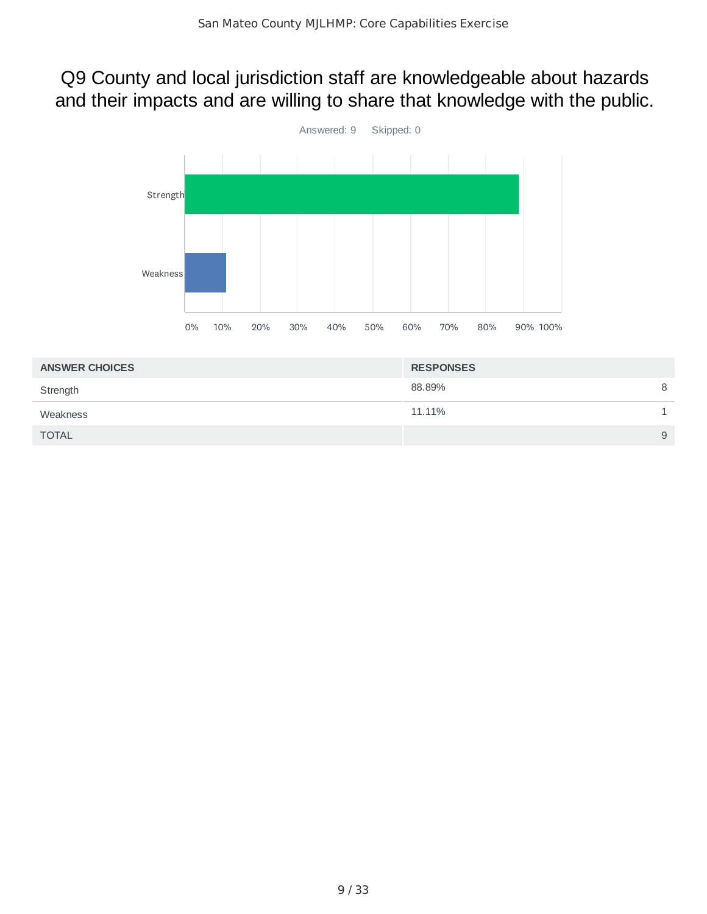### Q9 County and local jurisdiction staff are knowledgeable about hazards and their impacts and are willing to share that knowledge with the public.



| <b>ANSWER CHOICES</b> | <b>RESPONSES</b> |   |
|-----------------------|------------------|---|
| Strength              | 88.89%           | 8 |
| Weakness              | 11.11%           |   |
| <b>TOTAL</b>          |                  | 9 |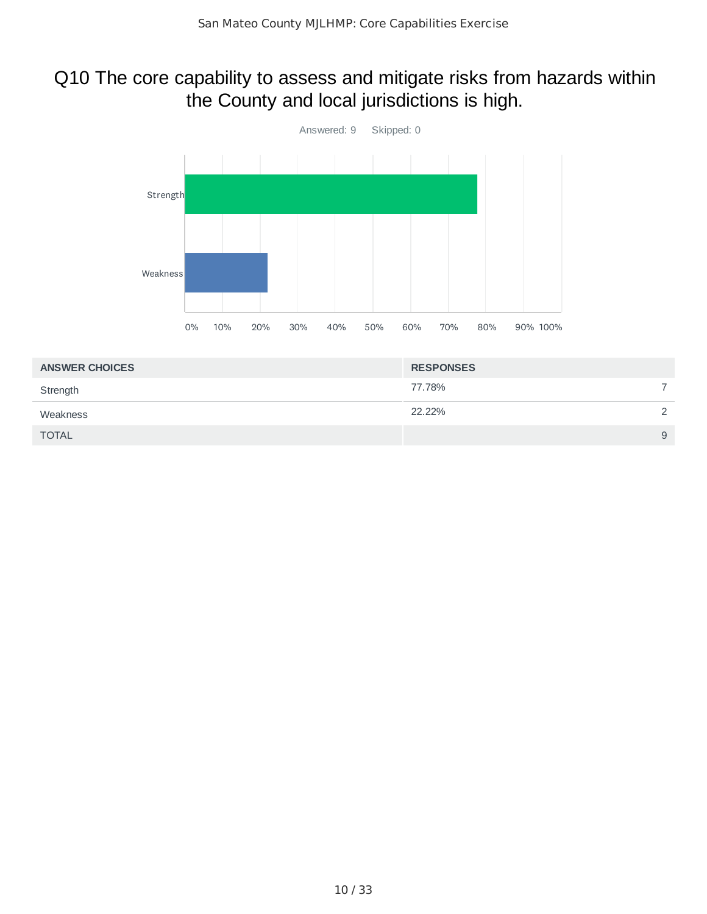## Q10 The core capability to assess and mitigate risks from hazards within the County and local jurisdictions is high.



| <b>ANSWER CHOICES</b> | <b>RESPONSES</b> |   |
|-----------------------|------------------|---|
| Strength              | 77.78%           |   |
| Weakness              | 22.22%           | っ |
| <b>TOTAL</b>          |                  | 9 |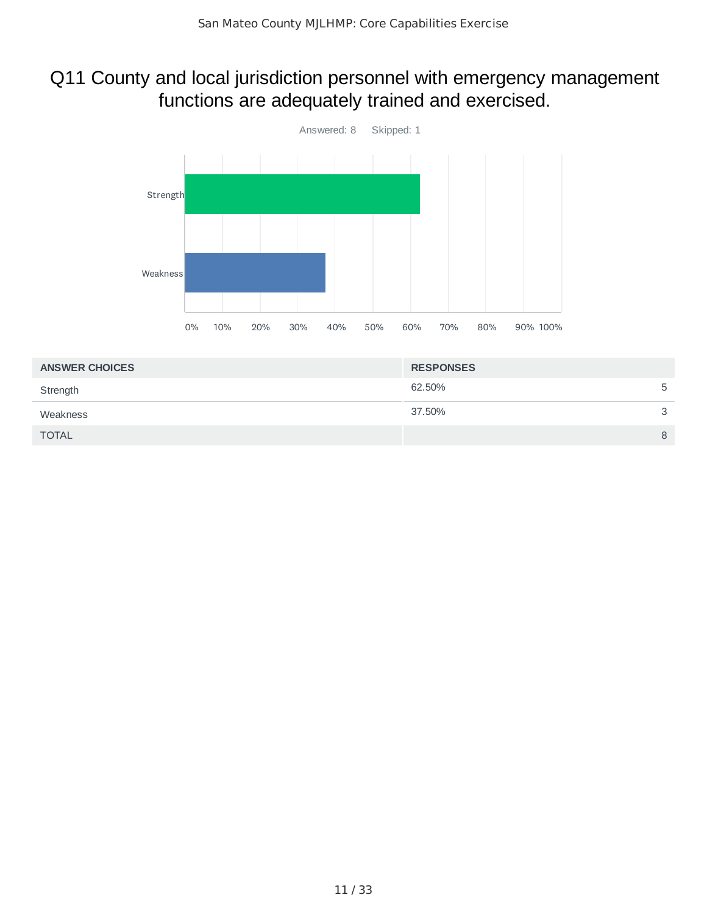## Q11 County and local jurisdiction personnel with emergency management functions are adequately trained and exercised.



| <b>RESPONSES</b> |   |
|------------------|---|
| 62.50%           | 5 |
| 37.50%           | 3 |
|                  | 8 |
|                  |   |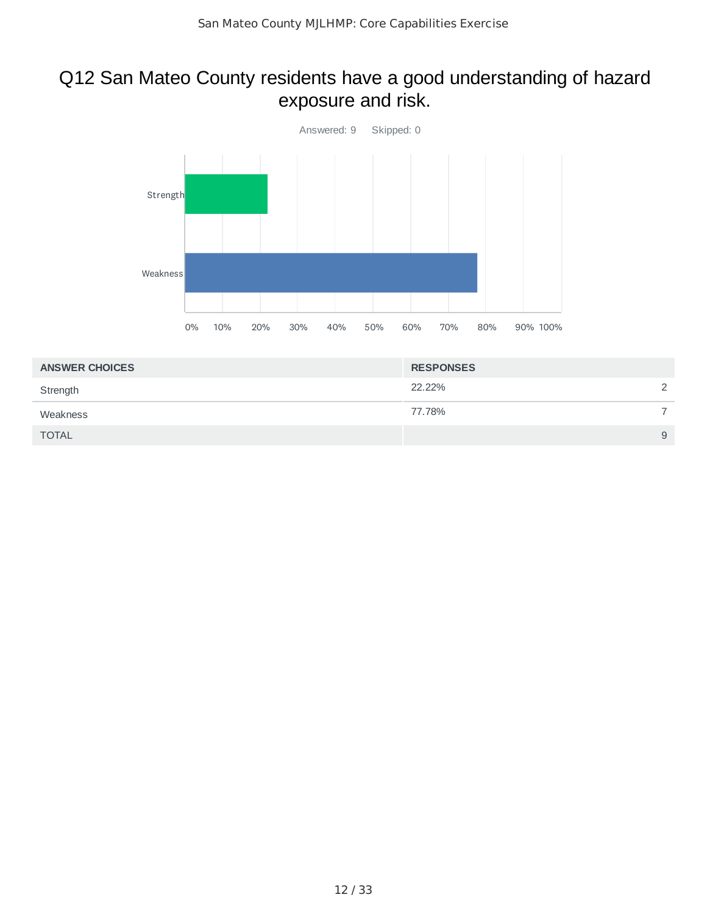### Q12 San Mateo County residents have a good understanding of hazard exposure and risk.



| <b>ANSWER CHOICES</b> | <b>RESPONSES</b> |                      |
|-----------------------|------------------|----------------------|
| Strength              | 22.22%           | $\mathbf{2}^{\circ}$ |
| Weakness              | 77.78%           |                      |
| <b>TOTAL</b>          |                  | 9                    |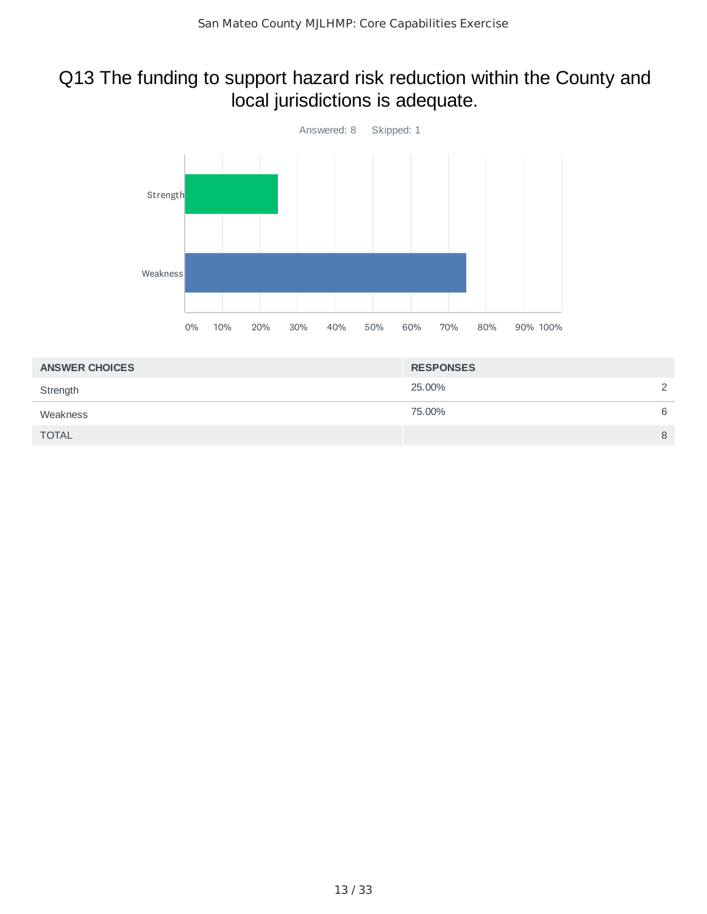## Q13 The funding to support hazard risk reduction within the County and local jurisdictions is adequate.



| <b>ANSWER CHOICES</b> | <b>RESPONSES</b> |               |
|-----------------------|------------------|---------------|
| Strength              | 25.00%           | $\mathcal{D}$ |
| Weakness              | 75.00%           | 6             |
| <b>TOTAL</b>          |                  | 8             |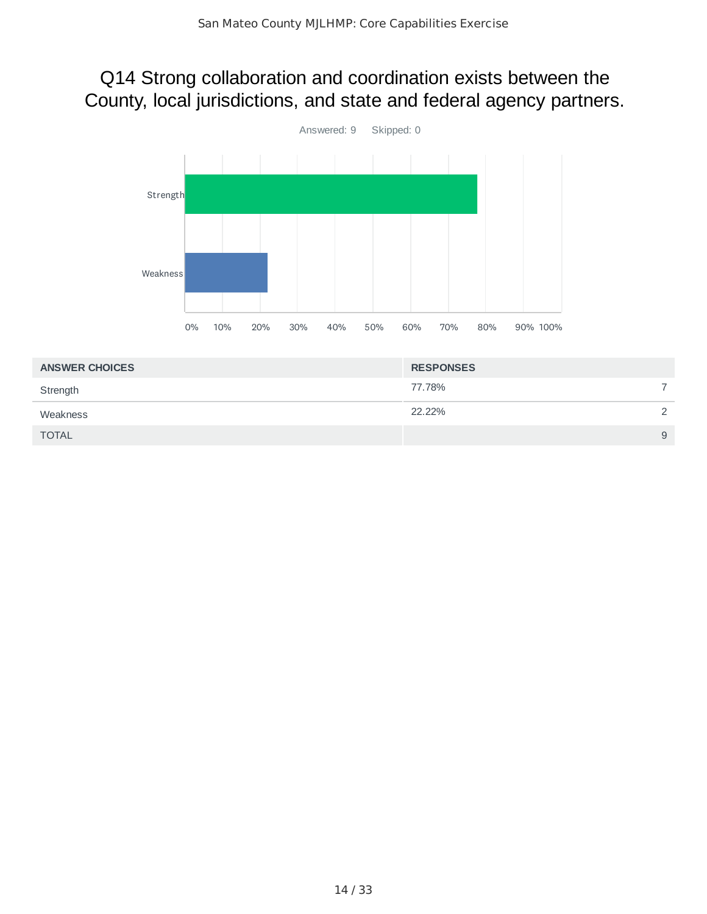### Q14 Strong collaboration and coordination exists between the County, local jurisdictions, and state and federal agency partners.



| <b>ANSWER CHOICES</b> | <b>RESPONSES</b> |               |
|-----------------------|------------------|---------------|
| Strength              | 77.78%           |               |
| Weakness              | 22.22%           | $\mathcal{D}$ |
| <b>TOTAL</b>          |                  | 9             |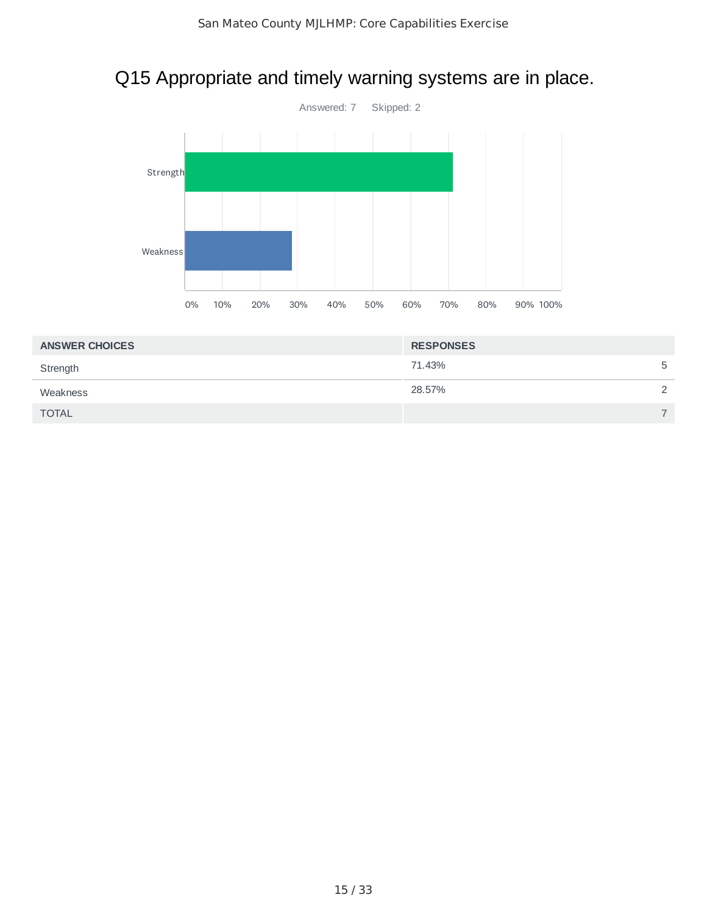## Q15 Appropriate and timely warning systems are in place.



| <b>ANSWER CHOICES</b> | <b>RESPONSES</b> |               |
|-----------------------|------------------|---------------|
| Strength              | 71.43%           | 5             |
| Weakness              | 28.57%           | $\mathcal{D}$ |
| <b>TOTAL</b>          |                  |               |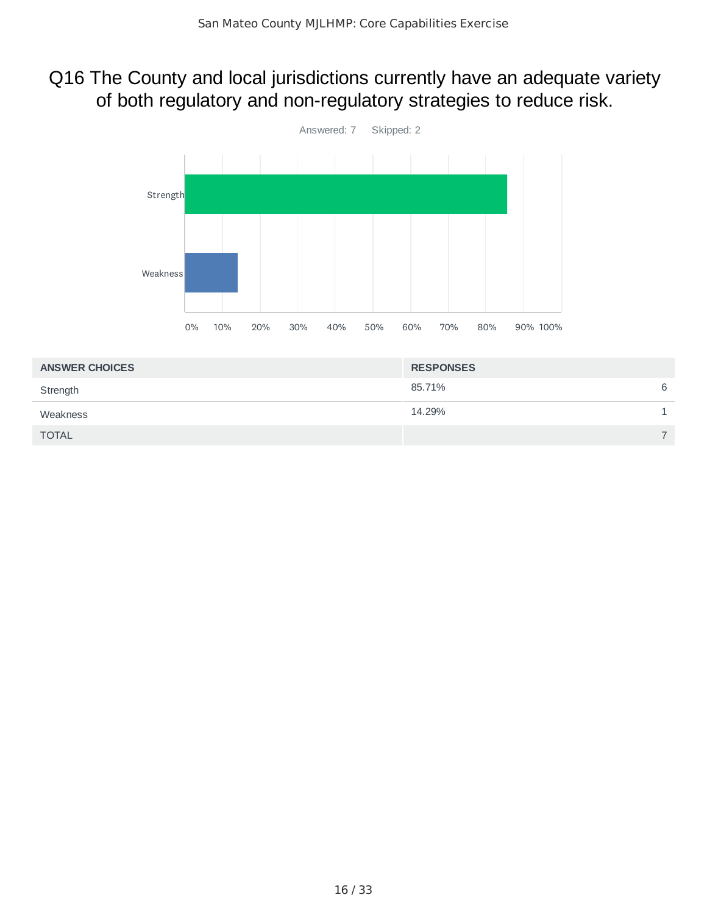### Q16 The County and local jurisdictions currently have an adequate variety of both regulatory and non-regulatory strategies to reduce risk.



| <b>ANSWER CHOICES</b> | <b>RESPONSES</b> |   |
|-----------------------|------------------|---|
| Strength              | 85.71%           | 6 |
| Weakness              | 14.29%           |   |
| <b>TOTAL</b>          |                  | ⇁ |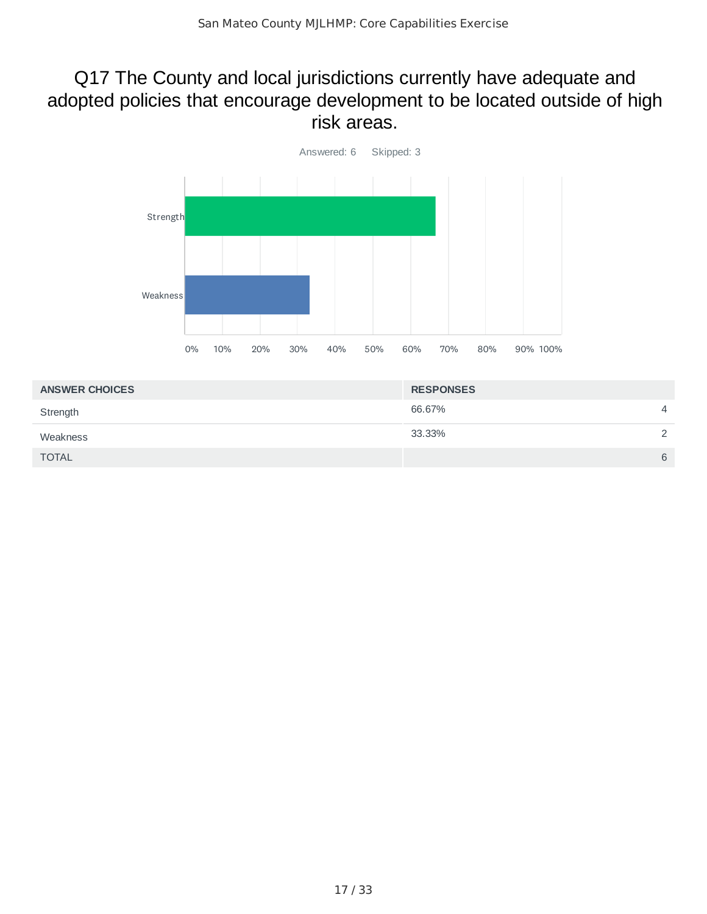#### Q17 The County and local jurisdictions currently have adequate and adopted policies that encourage development to be located outside of high risk areas.



| <b>ANSWER CHOICES</b> | <b>RESPONSES</b> |                |
|-----------------------|------------------|----------------|
| Strength              | 66.67%           | $\overline{4}$ |
| Weakness              | 33.33%           | $\mathcal{D}$  |
| <b>TOTAL</b>          |                  | 6              |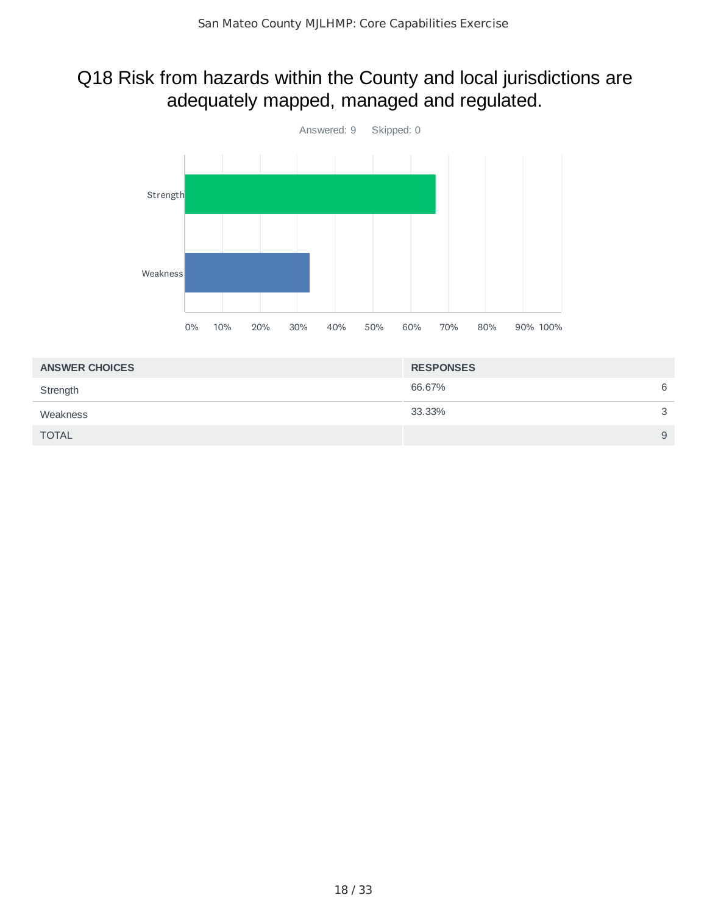### Q18 Risk from hazards within the County and local jurisdictions are adequately mapped, managed and regulated.



| <b>RESPONSES</b> |   |
|------------------|---|
| 66.67%           | 6 |
| 33.33%           | 3 |
|                  | 9 |
|                  |   |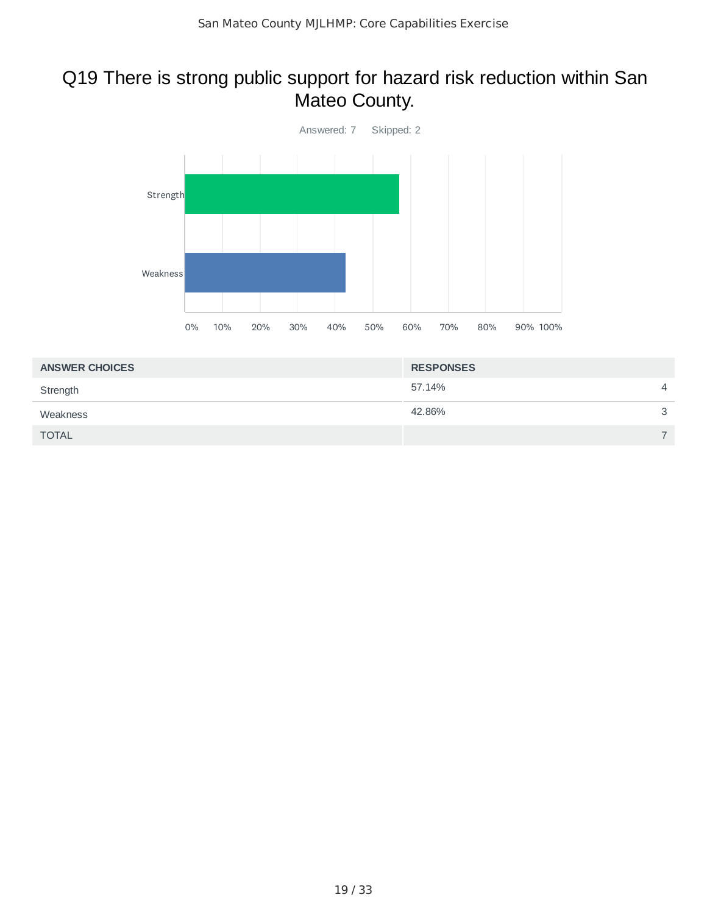## Q19 There is strong public support for hazard risk reduction within San Mateo County.



| <b>RESPONSES</b> |                |
|------------------|----------------|
| 57.14%           | $\overline{4}$ |
| 42.86%           | 3              |
|                  |                |
|                  |                |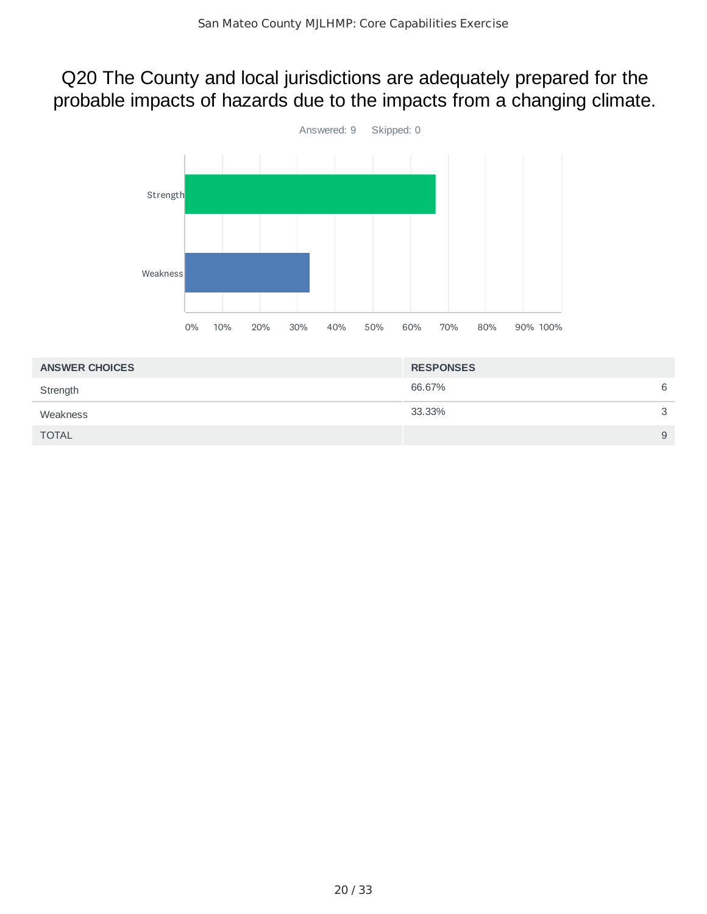### Q20 The County and local jurisdictions are adequately prepared for the probable impacts of hazards due to the impacts from a changing climate.



| <b>ANSWER CHOICES</b> | <b>RESPONSES</b> |   |
|-----------------------|------------------|---|
| Strength              | 66.67%           | 6 |
| Weakness              | 33.33%           | 3 |
| <b>TOTAL</b>          |                  | 9 |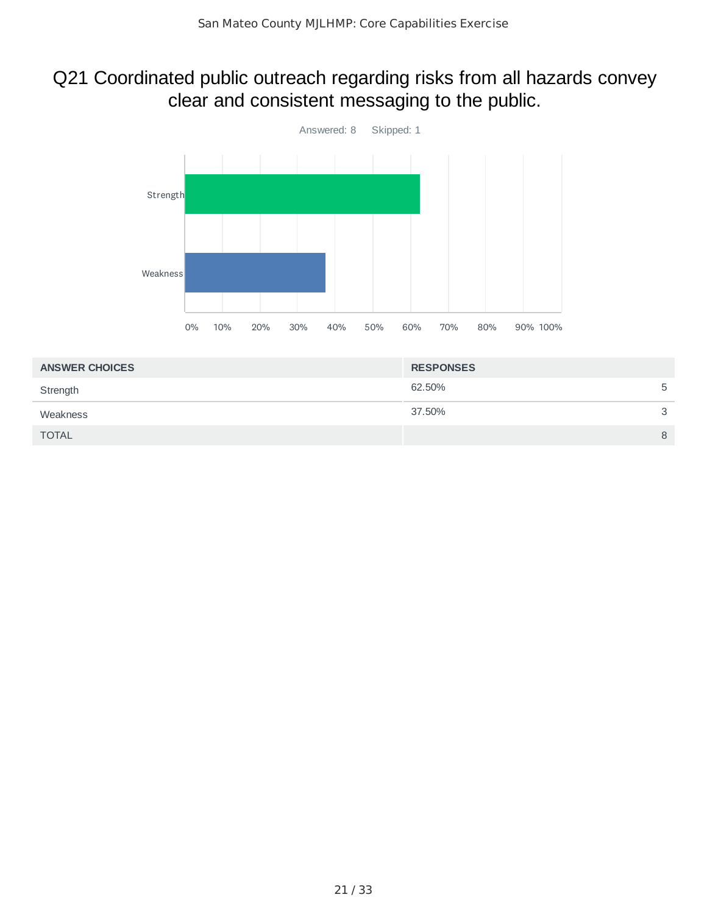## Q21 Coordinated public outreach regarding risks from all hazards convey clear and consistent messaging to the public.



| <b>RESPONSES</b> |   |
|------------------|---|
| 62.50%           | 5 |
| 37.50%           | 3 |
|                  | 8 |
|                  |   |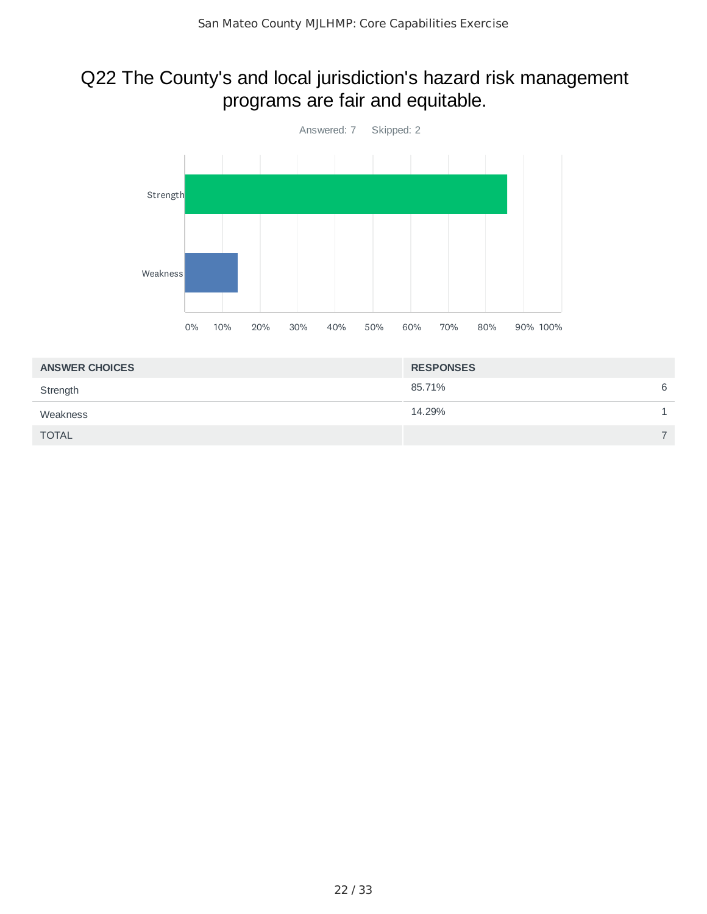### Q22 The County's and local jurisdiction's hazard risk management programs are fair and equitable.



| <b>ANSWER CHOICES</b> | <b>RESPONSES</b> |                          |
|-----------------------|------------------|--------------------------|
| Strength              | 85.71%           | 6                        |
| Weakness              | 14.29%           |                          |
| <b>TOTAL</b>          |                  | $\overline{\phantom{0}}$ |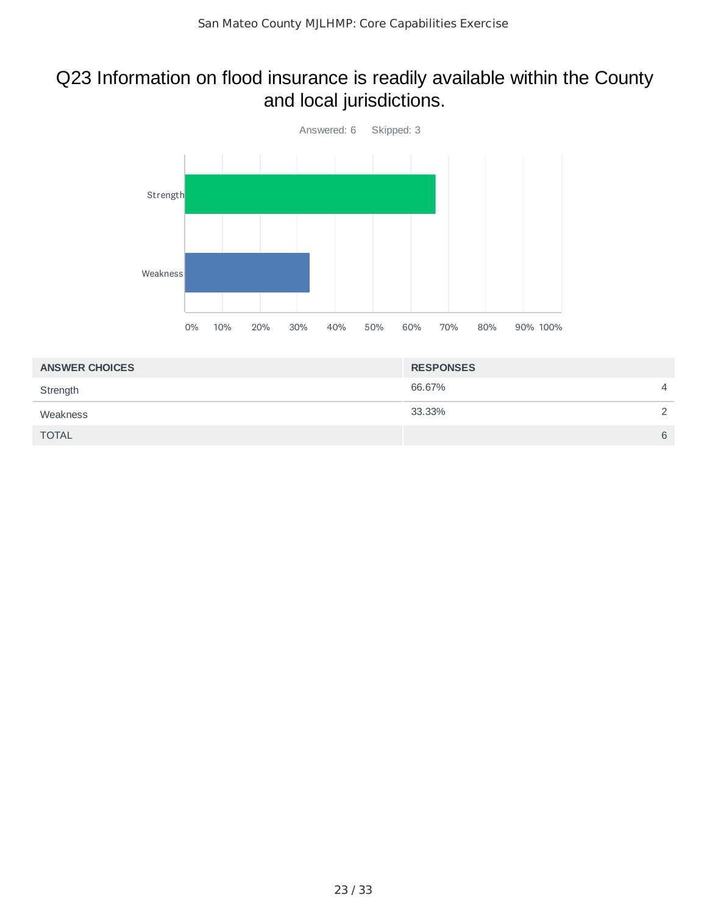## Q23 Information on flood insurance is readily available within the County and local jurisdictions.



| <b>RESPONSES</b> |                |
|------------------|----------------|
| 66.67%           | $\overline{4}$ |
| 33.33%           | $\mathcal{D}$  |
|                  | 6              |
|                  |                |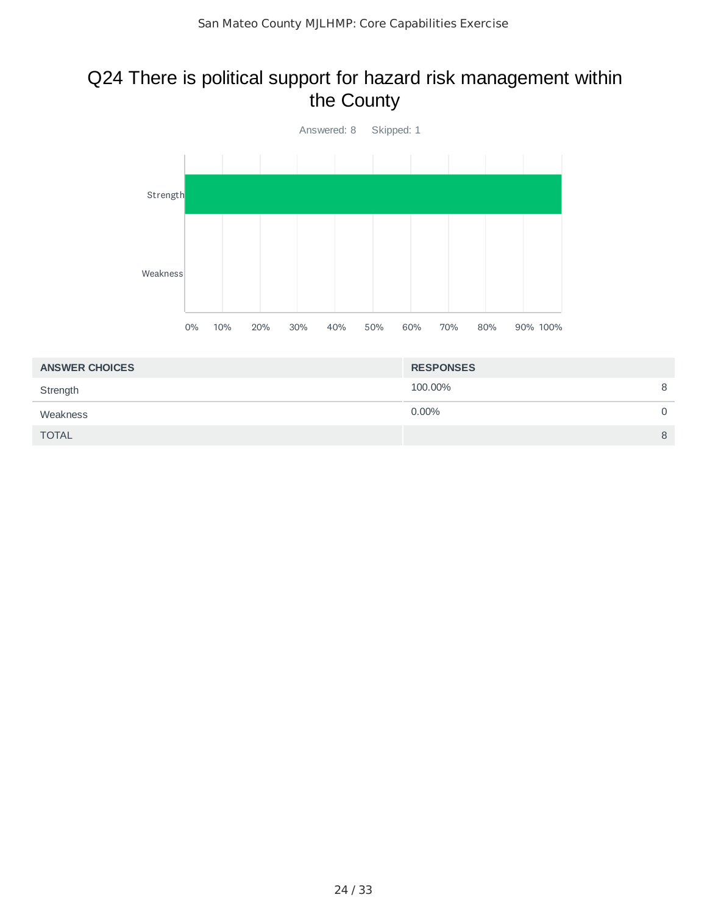### Q24 There is political support for hazard risk management within the County



| <b>ANSWER CHOICES</b> | <b>RESPONSES</b> |   |
|-----------------------|------------------|---|
| Strength              | 100.00%          | 8 |
| Weakness              | $0.00\%$         | 0 |
| <b>TOTAL</b>          |                  | 8 |
|                       |                  |   |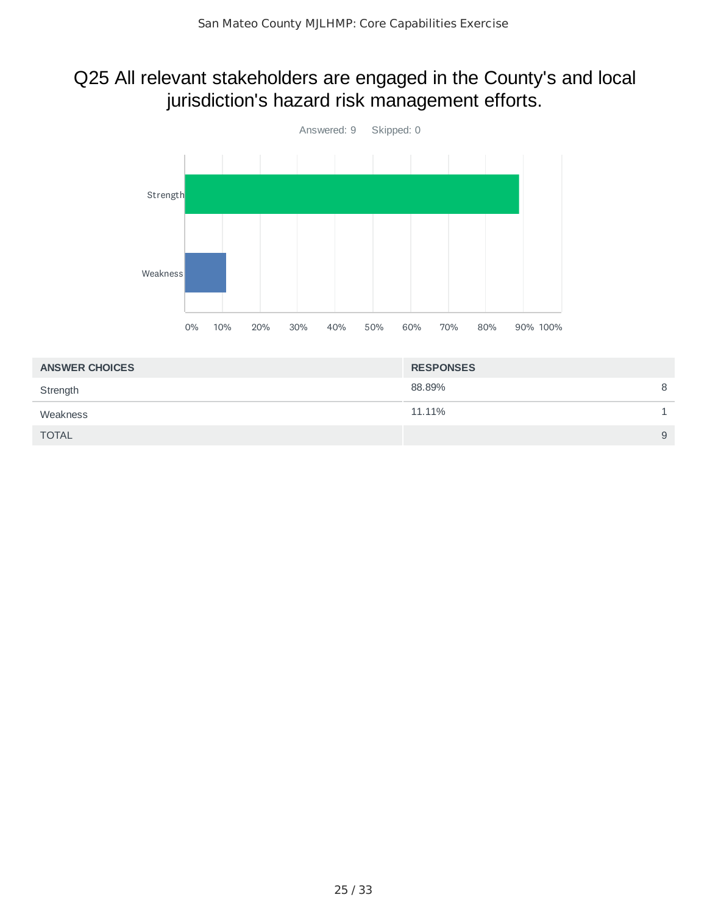## Q25 All relevant stakeholders are engaged in the County's and local jurisdiction's hazard risk management efforts.



| <b>ANSWER CHOICES</b> | <b>RESPONSES</b> |   |
|-----------------------|------------------|---|
| Strength              | 88.89%           | 8 |
| Weakness              | 11.11%           |   |
| <b>TOTAL</b>          |                  | 9 |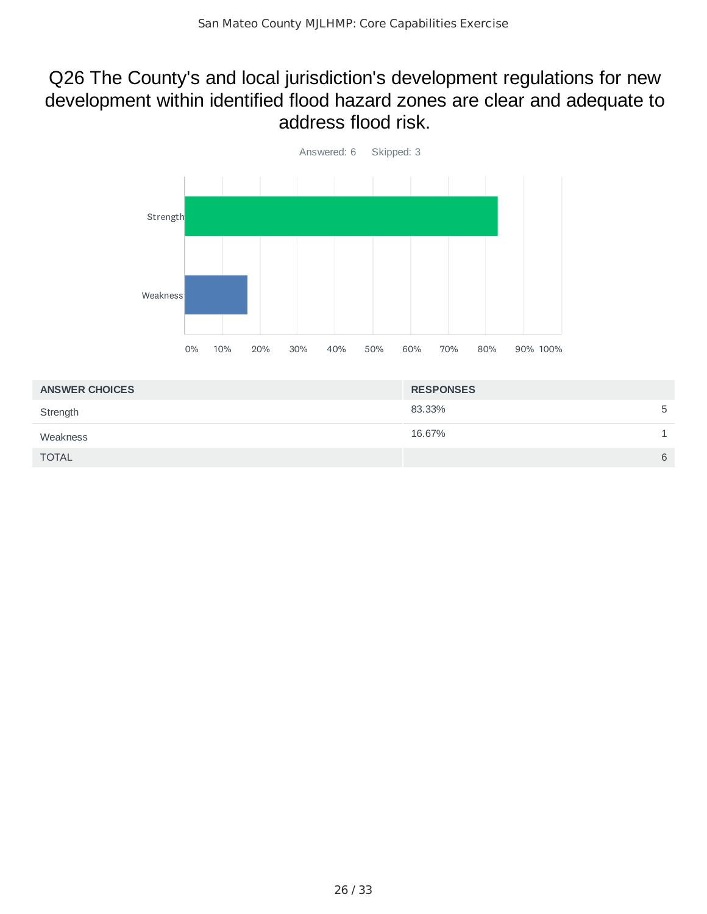#### Q26 The County's and local jurisdiction's development regulations for new development within identified flood hazard zones are clear and adequate to address flood risk.



| <b>ANSWER CHOICES</b> | <b>RESPONSES</b> |   |
|-----------------------|------------------|---|
| Strength              | 83.33%           | 5 |
| Weakness              | 16.67%           |   |
| <b>TOTAL</b>          |                  | 6 |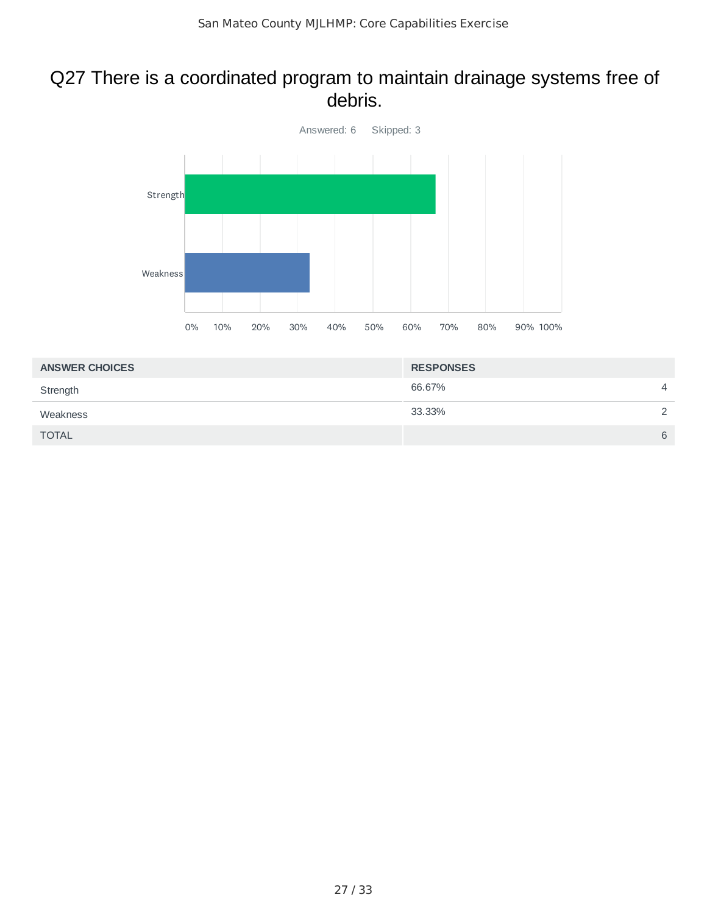#### Q27 There is a coordinated program to maintain drainage systems free of debris.



| <b>RESPONSES</b> |                |
|------------------|----------------|
| 66.67%           | $\overline{4}$ |
| 33.33%           | $\mathcal{D}$  |
|                  | 6              |
|                  |                |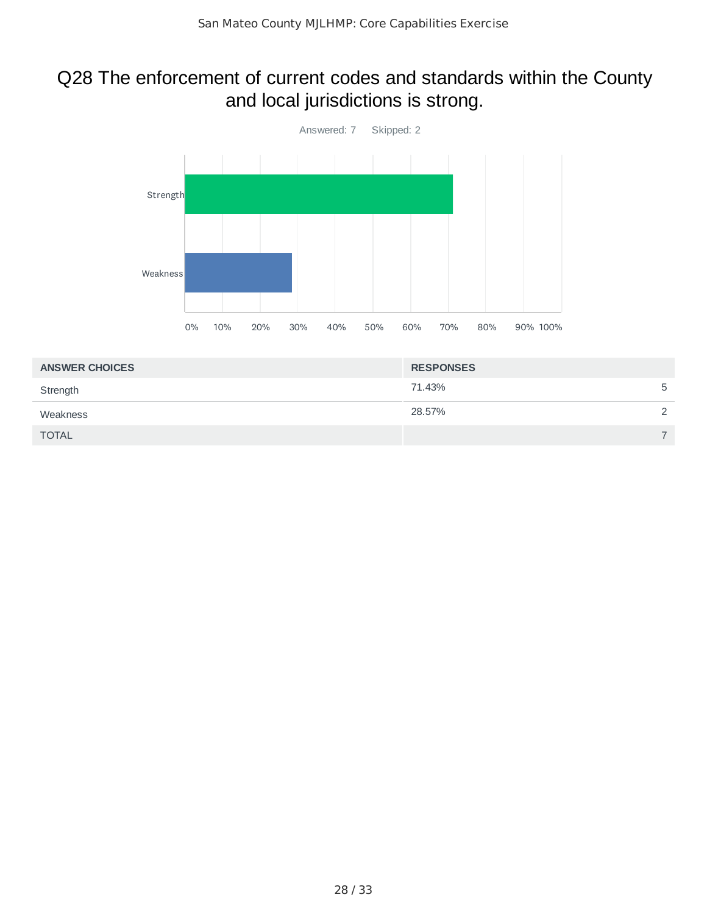## Q28 The enforcement of current codes and standards within the County and local jurisdictions is strong.



| <b>ANSWER CHOICES</b> | <b>RESPONSES</b> |               |
|-----------------------|------------------|---------------|
| Strength              | 71.43%           | 5             |
| Weakness              | 28.57%           | $\mathcal{D}$ |
| <b>TOTAL</b>          |                  |               |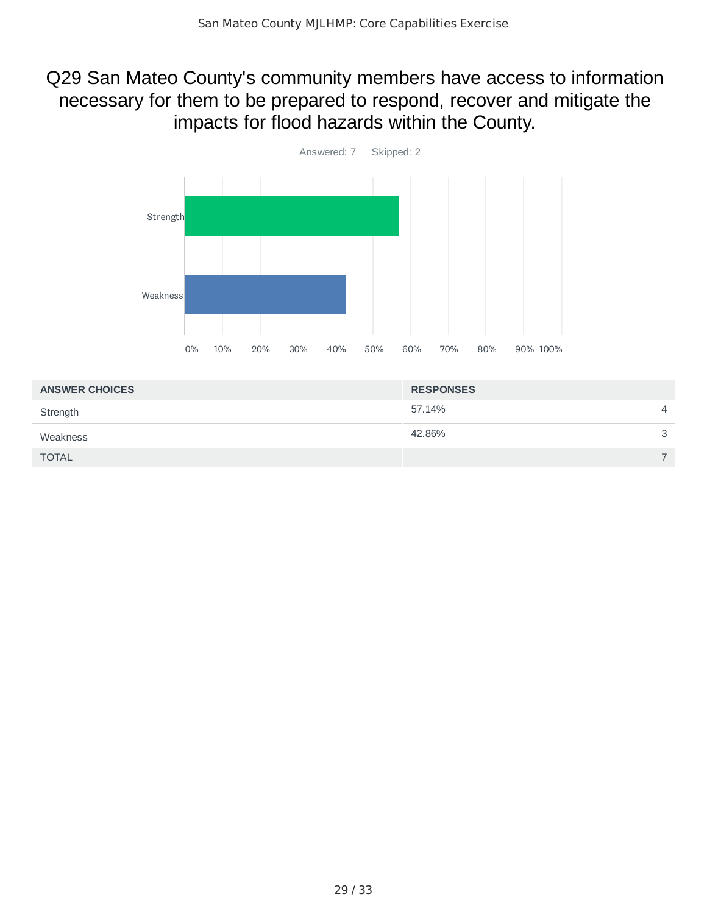### Q29 San Mateo County's community members have access to information necessary for them to be prepared to respond, recover and mitigate the impacts for flood hazards within the County.



| <b>ANSWER CHOICES</b> | <b>RESPONSES</b> |                |
|-----------------------|------------------|----------------|
| Strength              | 57.14%           | $\overline{4}$ |
| Weakness              | 42.86%           | 3              |
| <b>TOTAL</b>          |                  | -              |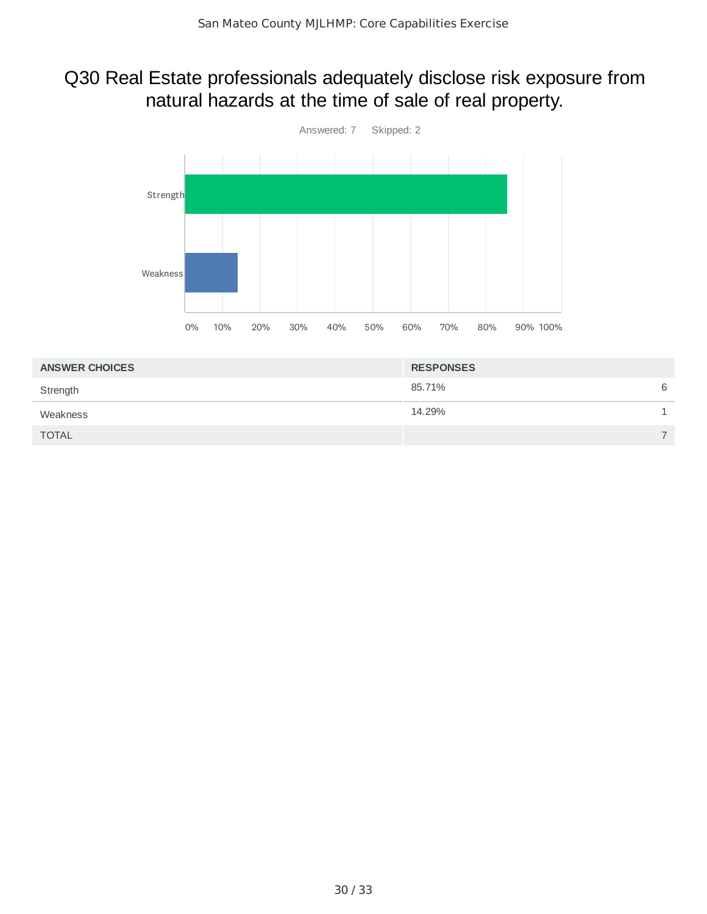## Q30 Real Estate professionals adequately disclose risk exposure from natural hazards at the time of sale of real property.



| <b>ANSWER CHOICES</b> | <b>RESPONSES</b> |                          |
|-----------------------|------------------|--------------------------|
| Strength              | 85.71%           | 6                        |
| Weakness              | 14.29%           |                          |
| <b>TOTAL</b>          |                  | $\overline{\phantom{0}}$ |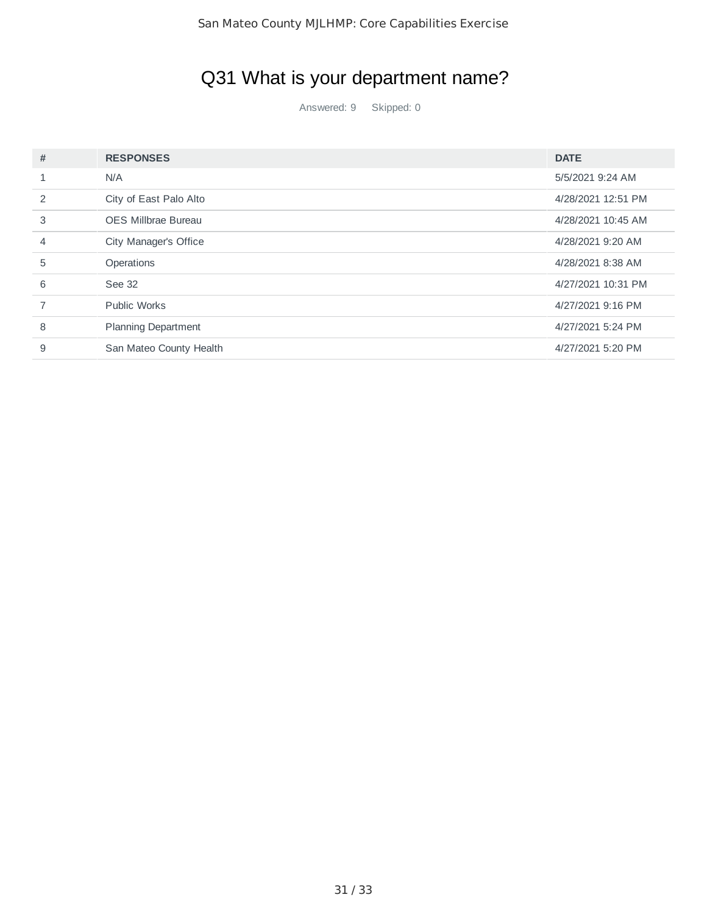# Q31 What is your department name?

Answered: 9 Skipped: 0

| # | <b>RESPONSES</b>           | <b>DATE</b>        |
|---|----------------------------|--------------------|
|   | N/A                        | 5/5/2021 9:24 AM   |
| 2 | City of East Palo Alto     | 4/28/2021 12:51 PM |
| 3 | <b>OES Millbrae Bureau</b> | 4/28/2021 10:45 AM |
| 4 | City Manager's Office      | 4/28/2021 9:20 AM  |
| 5 | <b>Operations</b>          | 4/28/2021 8:38 AM  |
| 6 | See 32                     | 4/27/2021 10:31 PM |
|   | <b>Public Works</b>        | 4/27/2021 9:16 PM  |
| 8 | <b>Planning Department</b> | 4/27/2021 5:24 PM  |
| 9 | San Mateo County Health    | 4/27/2021 5:20 PM  |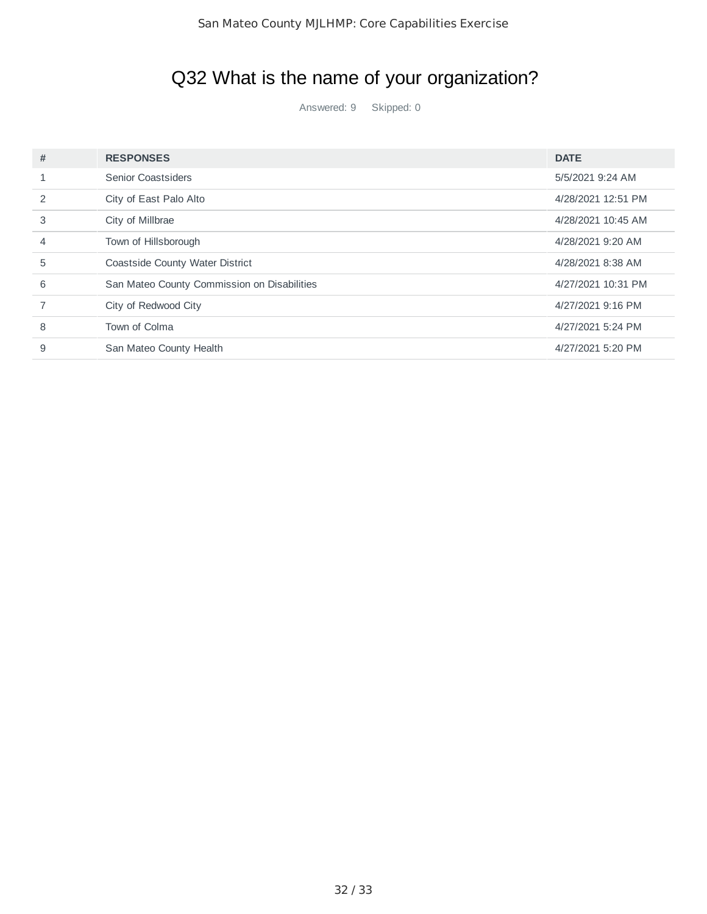## Q32 What is the name of your organization?

Answered: 9 Skipped: 0

| #             | <b>RESPONSES</b>                            | <b>DATE</b>        |
|---------------|---------------------------------------------|--------------------|
|               | Senior Coastsiders                          | 5/5/2021 9:24 AM   |
| $\mathcal{P}$ | City of East Palo Alto                      | 4/28/2021 12:51 PM |
| 3             | City of Millbrae                            | 4/28/2021 10:45 AM |
| 4             | Town of Hillsborough                        | 4/28/2021 9:20 AM  |
| 5             | Coastside County Water District             | 4/28/2021 8:38 AM  |
| 6             | San Mateo County Commission on Disabilities | 4/27/2021 10:31 PM |
|               | City of Redwood City                        | 4/27/2021 9:16 PM  |
| 8             | Town of Colma                               | 4/27/2021 5:24 PM  |
| 9             | San Mateo County Health                     | 4/27/2021 5:20 PM  |